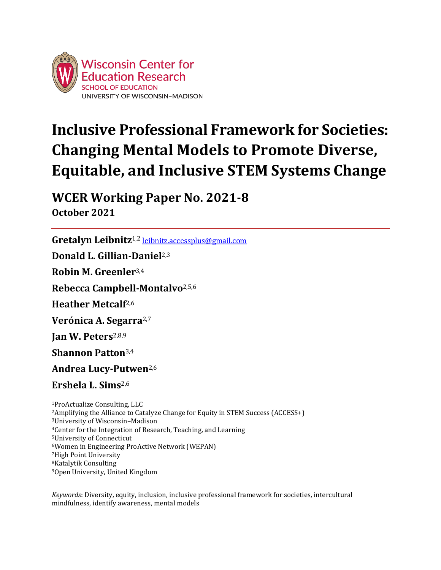

# **Inclusive Professional Framework for Societies: Changing Mental Models to Promote Diverse, Equitable, and Inclusive STEM Systems Change**

**WCER Working Paper No. 2021-8 October 2021**

**Gretalyn Leibnitz**1,2 [leibnitz.accessplus@gmail.com](mailto:leibnitz.accessplus@gmail.com) **Donald L. Gillian-Daniel**2,3 **Robin M. Greenler**3,4 **Rebecca Campbell-Montalvo**2,5,6 **Heather Metcalf**2,6 **Verónica A. Segarra**2,7 **Jan W. Peters**2,8,9 **Shannon Patton**3,4 **Andrea Lucy-Putwen**2,6 **Ershela L. Sims**2,6 <sup>1</sup>ProActualize Consulting, LLC <sup>3</sup>University of Wisconsin–Madison <sup>4</sup>Center for the Integration of Research, Teaching, and Learning <sup>5</sup>University of Connecticut <sup>6</sup>Women in Engineering ProActive Network (WEPAN)

Amplifying the Alliance to Catalyze Change for Equity in STEM Success (ACCESS+) High Point University Katalytik Consulting Open University, United Kingdom

*Keywords*: Diversity, equity, inclusion, inclusive professional framework for societies, intercultural mindfulness, identify awareness, mental models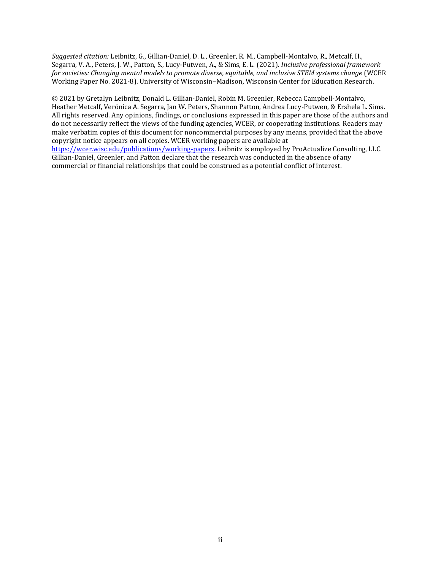*Suggested citation:* Leibnitz, G., Gillian-Daniel, D. L., Greenler, R. M., Campbell-Montalvo, R., Metcalf, H., Segarra, V. A., Peters, J. W., Patton, S., Lucy-Putwen, A., & Sims, E. L. (2021). *Inclusive professional framework for societies: Changing mental models to promote diverse, equitable, and inclusive STEM systems change* (WCER Working Paper No. 2021-8). University of Wisconsin–Madison, Wisconsin Center for Education Research.

© 2021 by Gretalyn Leibnitz, Donald L. Gillian-Daniel, Robin M. Greenler, Rebecca Campbell-Montalvo, Heather Metcalf, Verónica A. Segarra, Jan W. Peters, Shannon Patton, Andrea Lucy-Putwen, & Ershela L. Sims. All rights reserved. Any opinions, findings, or conclusions expressed in this paper are those of the authors and do not necessarily reflect the views of the funding agencies, WCER, or cooperating institutions. Readers may make verbatim copies of this document for noncommercial purposes by any means, provided that the above copyright notice appears on all copies. WCER working papers are available at [https://wcer.wisc.edu/publications/working-papers.](https://wcer.wisc.edu/publications/working-papers) Leibnitz is employed by ProActualize Consulting, LLC. Gillian-Daniel, Greenler, and Patton declare that the research was conducted in the absence of any

commercial or financial relationships that could be construed as a potential conflict of interest.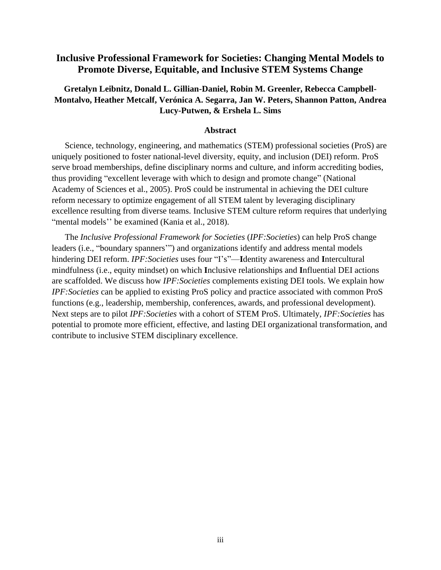# **Inclusive Professional Framework for Societies: Changing Mental Models to Promote Diverse, Equitable, and Inclusive STEM Systems Change**

# **Gretalyn Leibnitz, Donald L. Gillian-Daniel, Robin M. Greenler, Rebecca Campbell-Montalvo, Heather Metcalf, Verónica A. Segarra, Jan W. Peters, Shannon Patton, Andrea Lucy-Putwen, & Ershela L. Sims**

#### **Abstract**

Science, technology, engineering, and mathematics (STEM) professional societies (ProS) are uniquely positioned to foster national-level diversity, equity, and inclusion (DEI) reform. ProS serve broad memberships, define disciplinary norms and culture, and inform accrediting bodies, thus providing "excellent leverage with which to design and promote change" (National Academy of Sciences et al., 2005). ProS could be instrumental in achieving the DEI culture reform necessary to optimize engagement of all STEM talent by leveraging disciplinary excellence resulting from diverse teams. Inclusive STEM culture reform requires that underlying "mental models" be examined (Kania et al., 2018).

The *Inclusive Professional Framework for Societies* (*IPF:Societies*) can help ProS change leaders (i.e., "boundary spanners'") and organizations identify and address mental models hindering DEI reform. *IPF:Societies* uses four "I's"—**I**dentity awareness and **I**ntercultural mindfulness (i.e., equity mindset) on which **I**nclusive relationships and **I**nfluential DEI actions are scaffolded. We discuss how *IPF:Societies* complements existing DEI tools. We explain how *IPF:Societies* can be applied to existing ProS policy and practice associated with common ProS functions (e.g., leadership, membership, conferences, awards, and professional development). Next steps are to pilot *IPF:Societies* with a cohort of STEM ProS. Ultimately, *IPF:Societies* has potential to promote more efficient, effective, and lasting DEI organizational transformation, and contribute to inclusive STEM disciplinary excellence.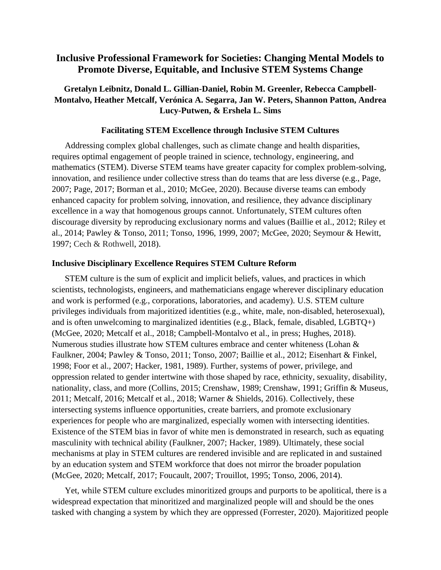# **Inclusive Professional Framework for Societies: Changing Mental Models to Promote Diverse, Equitable, and Inclusive STEM Systems Change**

# **Gretalyn Leibnitz, Donald L. Gillian-Daniel, Robin M. Greenler, Rebecca Campbell-Montalvo, Heather Metcalf, Verónica A. Segarra, Jan W. Peters, Shannon Patton, Andrea Lucy-Putwen, & Ershela L. Sims**

### **Facilitating STEM Excellence through Inclusive STEM Cultures**

Addressing complex global challenges, such as climate change and health disparities, requires optimal engagement of people trained in science, technology, engineering, and mathematics (STEM). Diverse STEM teams have greater capacity for complex problem-solving, innovation, and resilience under collective stress than do teams that are less diverse (e.g., Page, 2007; Page, 2017; Borman et al., 2010; McGee, 2020). Because diverse teams can embody enhanced capacity for problem solving, innovation, and resilience, they advance disciplinary excellence in a way that homogenous groups cannot. Unfortunately, STEM cultures often discourage diversity by reproducing exclusionary norms and values (Baillie et al., 2012; Riley et al., 2014; Pawley & Tonso, 2011; Tonso, 1996, 1999, 2007; McGee, 2020; Seymour & Hewitt, 1997; Cech & Rothwell, 2018).

#### **Inclusive Disciplinary Excellence Requires STEM Culture Reform**

STEM culture is the sum of explicit and implicit beliefs, values, and practices in which scientists, technologists, engineers, and mathematicians engage wherever disciplinary education and work is performed (e.g., corporations, laboratories, and academy). U.S. STEM culture privileges individuals from majoritized identities (e.g., white, male, non-disabled, heterosexual), and is often unwelcoming to marginalized identities (e.g., Black, female, disabled, LGBTQ+) (McGee, 2020; Metcalf et al., 2018; Campbell-Montalvo et al., in press; Hughes, 2018). Numerous studies illustrate how STEM cultures embrace and center whiteness (Lohan & Faulkner, 2004; Pawley & Tonso, 2011; Tonso, 2007; Baillie et al., 2012; Eisenhart & Finkel, 1998; Foor et al., 2007; Hacker, 1981, 1989). Further, systems of power, privilege, and oppression related to gender intertwine with those shaped by race, ethnicity, sexuality, disability, nationality, class, and more (Collins, 2015; Crenshaw, 1989; Crenshaw, 1991; Griffin & Museus, 2011; Metcalf, 2016; Metcalf et al., 2018; Warner & Shields, 2016). Collectively, these intersecting systems influence opportunities, create barriers, and promote exclusionary experiences for people who are marginalized, especially women with intersecting identities. Existence of the STEM bias in favor of white men is demonstrated in research, such as equating masculinity with technical ability (Faulkner, 2007; Hacker, 1989). Ultimately, these social mechanisms at play in STEM cultures are rendered invisible and are replicated in and sustained by an education system and STEM workforce that does not mirror the broader population (McGee, 2020; Metcalf, 2017; Foucault, 2007; Trouillot, 1995; Tonso, 2006, 2014).

Yet, while STEM culture excludes minoritized groups and purports to be apolitical, there is a widespread expectation that minoritized and marginalized people will and should be the ones tasked with changing a system by which they are oppressed (Forrester, 2020). Majoritized people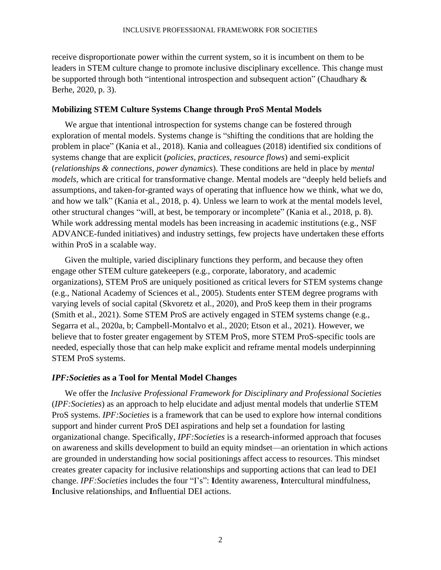receive disproportionate power within the current system, so it is incumbent on them to be leaders in STEM culture change to promote inclusive disciplinary excellence. This change must be supported through both "intentional introspection and subsequent action" (Chaudhary & Berhe, 2020, p. 3).

## **Mobilizing STEM Culture Systems Change through ProS Mental Models**

We argue that intentional introspection for systems change can be fostered through exploration of mental models. Systems change is "shifting the conditions that are holding the problem in place" (Kania et al., 2018). Kania and colleagues (2018) identified six conditions of systems change that are explicit (*policies*, *practices*, *resource flows*) and semi-explicit (*relationships & connections*, *power dynamics*). These conditions are held in place by *mental models*, which are critical for transformative change. Mental models are "deeply held beliefs and assumptions, and taken-for-granted ways of operating that influence how we think, what we do, and how we talk" (Kania et al., 2018, p. 4). Unless we learn to work at the mental models level, other structural changes "will, at best, be temporary or incomplete" (Kania et al., 2018, p. 8). While work addressing mental models has been increasing in academic institutions (e.g., NSF ADVANCE-funded initiatives) and industry settings, few projects have undertaken these efforts within ProS in a scalable way.

Given the multiple, varied disciplinary functions they perform, and because they often engage other STEM culture gatekeepers (e.g., corporate, laboratory, and academic organizations), STEM ProS are uniquely positioned as critical levers for STEM systems change (e.g., National Academy of Sciences et al., 2005). Students enter STEM degree programs with varying levels of social capital (Skvoretz et al., 2020), and ProS keep them in their programs (Smith et al., 2021). Some STEM ProS are actively engaged in STEM systems change (e.g., Segarra et al., 2020a, b; Campbell-Montalvo et al., 2020; Etson et al., 2021). However, we believe that to foster greater engagement by STEM ProS, more STEM ProS-specific tools are needed, especially those that can help make explicit and reframe mental models underpinning STEM ProS systems.

# *IPF:Societies* **as a Tool for Mental Model Changes**

We offer the *Inclusive Professional Framework for Disciplinary and Professional Societies* (*IPF:Societies*) as an approach to help elucidate and adjust mental models that underlie STEM ProS systems. *IPF:Societies* is a framework that can be used to explore how internal conditions support and hinder current ProS DEI aspirations and help set a foundation for lasting organizational change. Specifically, *IPF:Societies* is a research-informed approach that focuses on awareness and skills development to build an equity mindset—an orientation in which actions are grounded in understanding how social positionings affect access to resources. This mindset creates greater capacity for inclusive relationships and supporting actions that can lead to DEI change. *IPF:Societies* includes the four "I's": **I**dentity awareness, **I**ntercultural mindfulness, **I**nclusive relationships, and **I**nfluential DEI actions.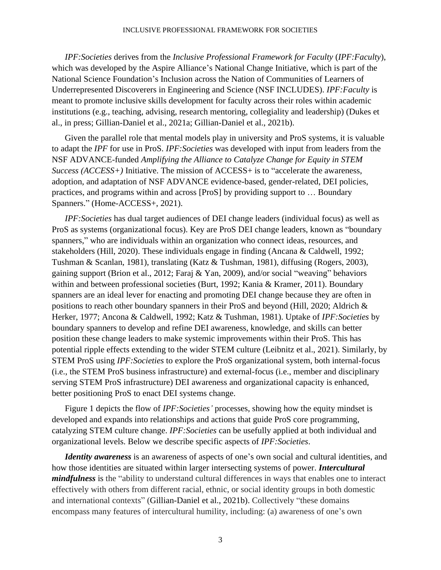#### INCLUSIVE PROFESSIONAL FRAMEWORK FOR SOCIETIES

*IPF:Societies* derives from the *Inclusive Professional Framework for Faculty* (*IPF:Faculty*), which was developed by the Aspire Alliance's National Change Initiative, which is part of the National Science Foundation's Inclusion across the Nation of Communities of Learners of Underrepresented Discoverers in Engineering and Science (NSF INCLUDES). *IPF:Faculty* is meant to promote inclusive skills development for faculty across their roles within academic institutions (e.g., teaching, advising, research mentoring, collegiality and leadership) (Dukes et al., in press; Gillian-Daniel et al., 2021a; Gillian-Daniel et al., 2021b).

Given the parallel role that mental models play in university and ProS systems, it is valuable to adapt the *IPF* for use in ProS. *IPF:Societie[s](https://www.aspirealliance.org/national-change/inclusive-professional-framework/ipf-societies.)* was developed with input from leaders from the NSF ADVANCE-funded *Amplifying the Alliance to Catalyze Change for Equity in STEM Success [\(ACCESS+\)](https://accessplusstem.com/)* Initiative. The mission of ACCESS+ is to "accelerate the awareness, adoption, and adaptation of NSF ADVANCE evidence-based, gender-related, DEI policies, practices, and programs within and across [ProS] by providing support to … Boundary Spanners." (Home-ACCESS+, 2021).

*IPF:Societies* has dual target audiences of DEI change leaders (individual focus) as well as ProS as systems (organizational focus). Key are ProS DEI change leaders, known as "boundary spanners," who are individuals within an organization who connect ideas, resources, and stakeholders (Hill, 2020). These individuals engage in finding (Ancana & Caldwell, 1992; Tushman & Scanlan, 1981), translating (Katz & Tushman, 1981), diffusing (Rogers, 2003), gaining support (Brion et al., 2012; Faraj & Yan, 2009), and/or social "weaving" behaviors within and between professional societies (Burt, 1992; Kania & Kramer, 2011). Boundary spanners are an ideal lever for enacting and promoting DEI change because they are often in positions to reach other boundary spanners in their ProS and beyond (Hill, 2020; Aldrich & Herker, 1977; Ancona & Caldwell, 1992; Katz & Tushman, 1981). Uptake of *IPF:Societies* by boundary spanners to develop and refine DEI awareness, knowledge, and skills can better position these change leaders to make systemic improvements within their ProS. This has potential ripple effects extending to the wider STEM culture (Leibnitz et al., 2021). Similarly, by STEM ProS using *IPF:Societies* to explore the ProS organizational system, both internal-focus (i.e., the STEM ProS business infrastructure) and external-focus (i.e., member and disciplinary serving STEM ProS infrastructure) DEI awareness and organizational capacity is enhanced, better positioning ProS to enact DEI systems change.

Figure 1 depicts the flow of *IPF:Societies'* processes, showing how the equity mindset is developed and expands into relationships and actions that guide ProS core programming, catalyzing STEM culture change. *IPF:Societies* can be usefully applied at both individual and organizational levels. Below we describe specific aspects of *IPF:Societies*.

*Identity awareness* is an awareness of aspects of one's own social and cultural identities, and how those identities are situated within larger intersecting systems of power. *Intercultural mindfulness* is the "ability to understand cultural differences in ways that enables one to interact effectively with others from different racial, ethnic, or social identity groups in both domestic and international contexts" (Gillian-Daniel et al., 2021b). Collectively "these domains encompass many features of intercultural humility, including: (a) awareness of one's own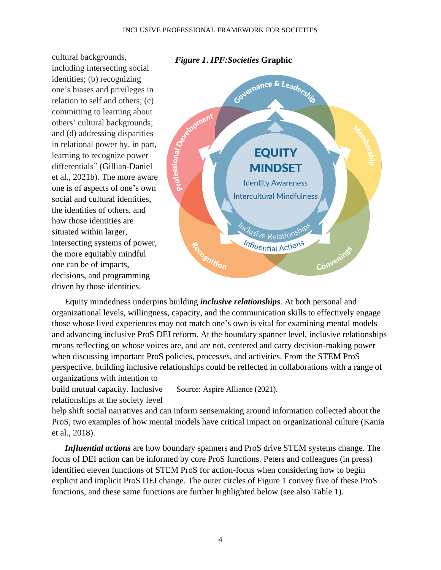cultural backgrounds, including intersecting social identities; (b) recognizing one's biases and privileges in relation to self and others; (c) committing to learning about others' cultural backgrounds; and (d) addressing disparities in relational power by, in part, learning to recognize power differentials" (Gillian-Daniel et al., 2021b). The more aware one is of aspects of one's own social and cultural identities, the identities of others, and how those identities are situated within larger, intersecting systems of power, the more equitably mindful one can be of impacts, decisions, and programming driven by those identities.



Equity mindedness underpins building *inclusive relationships*. At both personal and organizational levels, willingness, capacity, and the communication skills to effectively engage those whose lived experiences may not match one's own is vital for examining mental models and advancing inclusive ProS DEI reform. At the boundary spanner level, inclusive relationships means reflecting on whose voices are, and are not, centered and carry decision-making power when discussing important ProS policies, processes, and activities. From the STEM ProS perspective, building inclusive relationships could be reflected in collaborations with a range of organizations with intention to

build mutual capacity. Inclusive relationships at the society level Source: Aspire Alliance (2021).

help shift social narratives and can inform sensemaking around information collected about the ProS, two examples of how mental models have critical impact on organizational culture (Kania et al., 2018).

*Influential actions* are how boundary spanners and ProS drive STEM systems change. The focus of DEI action can be informed by core ProS functions. Peters and colleagues (in press) identified eleven functions of STEM ProS for action-focus when considering how to begin explicit and implicit ProS DEI change. The outer circles of Figure 1 convey five of these ProS functions, and these same functions are further highlighted below (see also Table 1).

# *Figure 1***.** *IPF:Societies* **Graphic**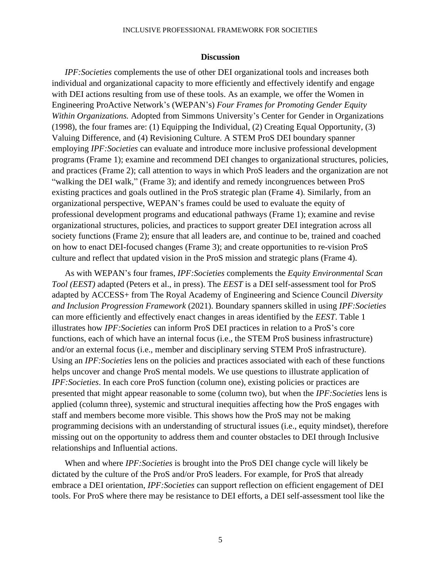#### INCLUSIVE PROFESSIONAL FRAMEWORK FOR SOCIETIES

#### **Discussion**

*IPF:Societies* complements the use of other DEI organizational tools and increases both individual and organizational capacity to more efficiently and effectively identify and engage with DEI actions resulting from use of these tools. As an example, we offer the Women in Engineering ProActive Network's (WEPAN's) *Four Frames for Promoting Gender Equity Within Organizations.* Adopted from Simmons University's Center for Gender in Organizations (1998), the four frames are: (1) Equipping the Individual, (2) Creating Equal Opportunity, (3) Valuing Difference, and (4) Revisioning Culture. A STEM ProS DEI boundary spanner employing *IPF:Societies* can evaluate and introduce more inclusive professional development programs (Frame 1); examine and recommend DEI changes to organizational structures, policies, and practices (Frame 2); call attention to ways in which ProS leaders and the organization are not "walking the DEI walk," (Frame 3); and identify and remedy incongruences between ProS existing practices and goals outlined in the ProS strategic plan (Frame 4). Similarly, from an organizational perspective, WEPAN's frames could be used to evaluate the equity of professional development programs and educational pathways (Frame 1); examine and revise organizational structures, policies, and practices to support greater DEI integration across all society functions (Frame 2); ensure that all leaders are, and continue to be, trained and coached on how to enact DEI-focused changes (Frame 3); and create opportunities to re-vision ProS culture and reflect that updated vision in the ProS mission and strategic plans (Frame 4).

As with WEPAN's four frames, *IPF:Societies* complements the *Equity Environmental Scan Tool (EEST)* adapted (Peters et al., in press). The *EEST* is a DEI self-assessment tool for ProS adapted by [ACCESS+](https://accessplusstem.com/) from The Royal Academy of Engineering and Science Council *Diversity and [Inclusion](https://sciencecouncil.org/professional-bodies/diversity-equality-and-inclusion/diversity-framework/) Progression Framework* (2021). Boundary spanners skilled in using *IPF:Societies* can more efficiently and effectively enact changes in areas identified by the *EEST*. Table 1 illustrates how *IPF:Societies* can inform ProS DEI practices in relation to a ProS's core functions, each of which have an internal focus (i.e., the STEM ProS business infrastructure) and/or an external focus (i.e., member and disciplinary serving STEM ProS infrastructure). Using an *IPF:Societies* lens on the policies and practices associated with each of these functions helps uncover and change ProS mental models. We use questions to illustrate application of *IPF:Societies*. In each core ProS function (column one), existing policies or practices are presented that might appear reasonable to some (column two), but when the *IPF:Societies* lens is applied (column three), systemic and structural inequities affecting how the ProS engages with staff and members become more visible. This shows how the ProS may not be making programming decisions with an understanding of structural issues (i.e., equity mindset), therefore missing out on the opportunity to address them and counter obstacles to DEI through Inclusive relationships and Influential actions.

When and where *IPF:Societies* is brought into the ProS DEI change cycle will likely be dictated by the culture of the ProS and/or ProS leaders. For example, for ProS that already embrace a DEI orientation, *IPF:Societies* can support reflection on efficient engagement of DEI tools. For ProS where there may be resistance to DEI efforts, a DEI self-assessment tool like the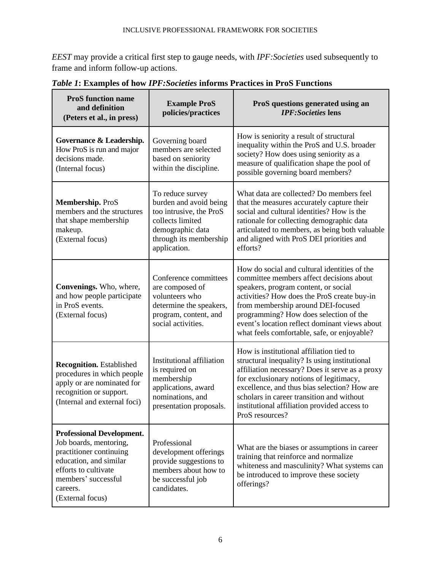*EEST* may provide a critical first step to gauge needs, with *IPF:Societies* used subsequently to frame and inform follow-up actions.

| <b>ProS</b> function name<br>and definition<br>(Peters et al., in press)                                                                                                                       | <b>Example ProS</b><br>policies/practices                                                                                                               | ProS questions generated using an<br><b>IPF:Societies lens</b>                                                                                                                                                                                                                                                                                                  |
|------------------------------------------------------------------------------------------------------------------------------------------------------------------------------------------------|---------------------------------------------------------------------------------------------------------------------------------------------------------|-----------------------------------------------------------------------------------------------------------------------------------------------------------------------------------------------------------------------------------------------------------------------------------------------------------------------------------------------------------------|
| Governance & Leadership.<br>How ProS is run and major<br>decisions made.<br>(Internal focus)                                                                                                   | Governing board<br>members are selected<br>based on seniority<br>within the discipline.                                                                 | How is seniority a result of structural<br>inequality within the ProS and U.S. broader<br>society? How does using seniority as a<br>measure of qualification shape the pool of<br>possible governing board members?                                                                                                                                             |
| Membership. ProS<br>members and the structures<br>that shape membership<br>makeup.<br>(External focus)                                                                                         | To reduce survey<br>burden and avoid being<br>too intrusive, the ProS<br>collects limited<br>demographic data<br>through its membership<br>application. | What data are collected? Do members feel<br>that the measures accurately capture their<br>social and cultural identities? How is the<br>rationale for collecting demographic data<br>articulated to members, as being both valuable<br>and aligned with ProS DEI priorities and<br>efforts?                                                                     |
| Convenings. Who, where,<br>and how people participate<br>in ProS events.<br>(External focus)                                                                                                   | Conference committees<br>are composed of<br>volunteers who<br>determine the speakers,<br>program, content, and<br>social activities.                    | How do social and cultural identities of the<br>committee members affect decisions about<br>speakers, program content, or social<br>activities? How does the ProS create buy-in<br>from membership around DEI-focused<br>programming? How does selection of the<br>event's location reflect dominant views about<br>what feels comfortable, safe, or enjoyable? |
| <b>Recognition.</b> Established<br>procedures in which people<br>apply or are nominated for<br>recognition or support.<br>(Internal and external foci)                                         | <b>Institutional affiliation</b><br>is required on<br>membership<br>applications, award<br>nominations, and<br>presentation proposals.                  | How is institutional affiliation tied to<br>structural inequality? Is using institutional<br>affiliation necessary? Does it serve as a proxy<br>for exclusionary notions of legitimacy,<br>excellence, and thus bias selection? How are<br>scholars in career transition and without<br>institutional affiliation provided access to<br>ProS resources?         |
| <b>Professional Development.</b><br>Job boards, mentoring,<br>practitioner continuing<br>education, and similar<br>efforts to cultivate<br>members' successful<br>careers.<br>(External focus) | Professional<br>development offerings<br>provide suggestions to<br>members about how to<br>be successful job<br>candidates.                             | What are the biases or assumptions in career<br>training that reinforce and normalize<br>whiteness and masculinity? What systems can<br>be introduced to improve these society<br>offerings?                                                                                                                                                                    |

*Table 1***: Examples of how** *IPF:Societies* **informs Practices in ProS Functions**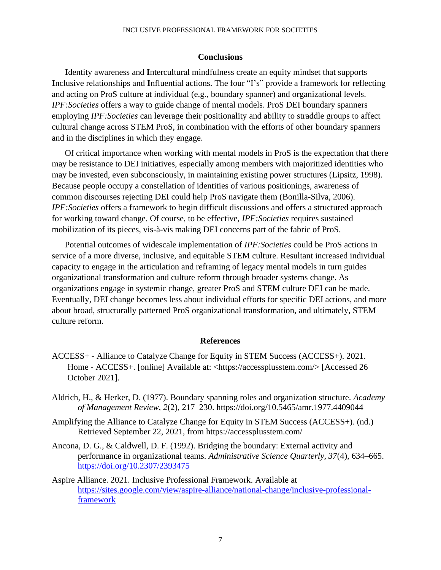#### **Conclusions**

**I**dentity awareness and **I**ntercultural mindfulness create an equity mindset that supports **I**nclusive relationships and **I**nfluential actions. The four "I's" provide a framework for reflecting and acting on ProS culture at individual (e.g., boundary spanner) and organizational levels. *IPF:Societies* offers a way to guide change of mental models. ProS DEI boundary spanners employing *IPF:Societies* can leverage their positionality and ability to straddle groups to affect cultural change across STEM ProS, in combination with the efforts of other boundary spanners and in the disciplines in which they engage.

Of critical importance when working with mental models in ProS is the expectation that there may be resistance to DEI initiatives, especially among members with majoritized identities who may be invested, even subconsciously, in maintaining existing power structures (Lipsitz, 1998). Because people occupy a constellation of identities of various positionings, awareness of common discourses rejecting DEI could help ProS navigate them (Bonilla-Silva, 2006). *IPF:Societies* offers a framework to begin difficult discussions and offers a structured approach for working toward change. Of course, to be effective, *IPF:Societies* requires sustained mobilization of its pieces, vis-à-vis making DEI concerns part of the fabric of ProS.

Potential outcomes of widescale implementation of *IPF:Societies* could be ProS actions in service of a more diverse, inclusive, and equitable STEM culture. Resultant increased individual capacity to engage in the articulation and reframing of legacy mental models in turn guides organizational transformation and culture reform through broader systems change. As organizations engage in systemic change, greater ProS and STEM culture DEI can be made. Eventually, DEI change becomes less about individual efforts for specific DEI actions, and more about broad, structurally patterned ProS organizational transformation, and ultimately, STEM culture reform.

#### **References**

- ACCESS+ Alliance to Catalyze Change for Equity in STEM Success (ACCESS+). 2021. Home - ACCESS+. [online] Available at: <https://accessplusstem.com/> [Accessed 26 October 2021].
- Aldrich, H., & Herker, D. (1977). Boundary spanning roles and organization structure. *Academy of Management Review, 2*(2), 217–230. https://doi.org/10.5465/amr.1977.4409044
- Amplifying the Alliance to Catalyze Change for Equity in STEM Success (ACCESS+). (nd.) Retrieved September 22, 2021, from https://accessplusstem.com/
- Ancona, D. G., & Caldwell, D. F. (1992). Bridging the boundary: External activity and performance in organizational teams. *Administrative Science Quarterly, 37*(4), 634–665. <https://doi.org/10.2307/2393475>
- Aspire Alliance. 2021. Inclusive Professional Framework. Available at [https://sites.google.com/view/aspire-alliance/national-change/inclusive-professional](https://sites.google.com/view/aspire-alliance/national-change/inclusive-professional-framework)[framework](https://sites.google.com/view/aspire-alliance/national-change/inclusive-professional-framework)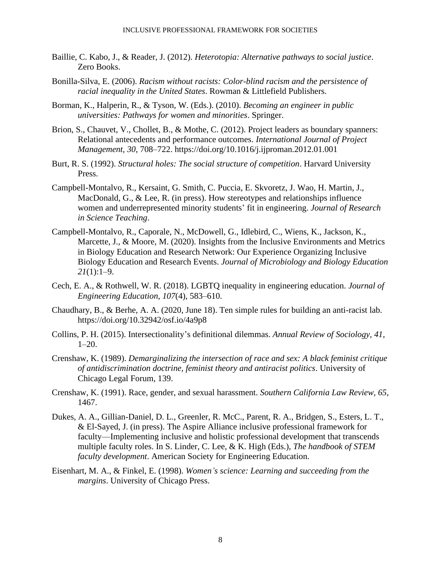- Baillie, C. Kabo, J., & Reader, J. (2012). *Heterotopia: Alternative pathways to social justice*. Zero Books.
- Bonilla-Silva, E. (2006). *Racism without racists: Color-blind racism and the persistence of racial inequality in the United States*. Rowman & Littlefield Publishers.
- Borman, K., Halperin, R., & Tyson, W. (Eds.). (2010). *Becoming an engineer in public universities: Pathways for women and minorities*. Springer.
- Brion, S., Chauvet, V., Chollet, B., & Mothe, C. (2012). Project leaders as boundary spanners: Relational antecedents and performance outcomes. *International Journal of Project Management, 30*, 708–722. https://doi.org/10.1016/j.ijproman.2012.01.001
- Burt, R. S. (1992). *Structural holes: The social structure of competition*. Harvard University Press.
- Campbell-Montalvo, R., Kersaint, G. Smith, C. Puccia, E. Skvoretz, J. Wao, H. Martin, J., MacDonald, G., & Lee, R. (in press). How stereotypes and relationships influence women and underrepresented minority students' fit in engineering. *Journal of Research in Science Teaching*.
- Campbell-Montalvo, R., Caporale, N., McDowell, G., Idlebird, C., Wiens, K., Jackson, K., Marcette, J., & Moore, M. (2020). Insights from the Inclusive Environments and Metrics in Biology Education and Research Network: Our Experience Organizing Inclusive Biology Education and Research Events. *Journal of Microbiology and Biology Education 21*(1):1–9.
- Cech, E. A., & Rothwell, W. R. (2018). LGBTQ inequality in engineering education. *Journal of Engineering Education, 107*(4), 583–610.
- Chaudhary, B., & Berhe, A. A. (2020, June 18). Ten simple rules for building an anti-racist lab. https://doi.org/10.32942/osf.io/4a9p8
- Collins, P. H. (2015). Intersectionality's definitional dilemmas. *Annual Review of Sociology, 41*, 1–20.
- Crenshaw, K. (1989). *Demarginalizing the intersection of race and sex: A black feminist critique of antidiscrimination doctrine, feminist theory and antiracist politics*. University of Chicago Legal Forum, 139.
- Crenshaw, K. (1991). Race, gender, and sexual harassment. *Southern California Law Review, 65*, 1467.
- Dukes, A. A., Gillian-Daniel, D. L., Greenler, R. McC., Parent, R. A., Bridgen, S., Esters, L. T., & El-Sayed, J. (in press). The Aspire Alliance inclusive professional framework for faculty—Implementing inclusive and holistic professional development that transcends multiple faculty roles. In S. Linder, C. Lee, & K. High (Eds.), *The handbook of STEM faculty development*. American Society for Engineering Education.
- Eisenhart, M. A., & Finkel, E. (1998). *Women's science: Learning and succeeding from the margins*. University of Chicago Press.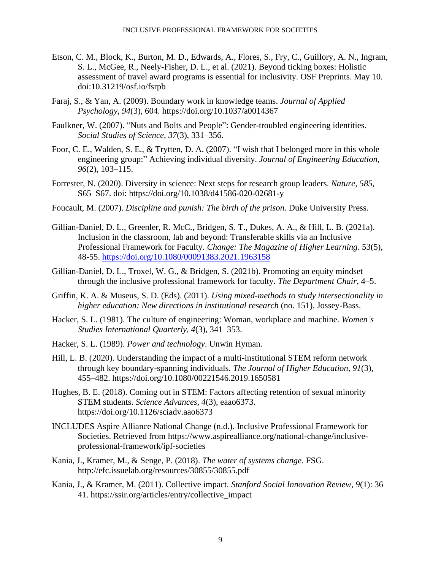- Etson, C. M., Block, K., Burton, M. D., Edwards, A., Flores, S., Fry, C., Guillory, A. N., Ingram, S. L., McGee, R., Neely-Fisher, D. L., et al. (2021). Beyond ticking boxes: Holistic assessment of travel award programs is essential for inclusivity. OSF Preprints. May 10. doi:10.31219/osf.io/fsrpb
- Faraj, S., & Yan, A. (2009). Boundary work in knowledge teams. *Journal of Applied Psychology, 94*(3), 604. https://doi.org/10.1037/a0014367
- Faulkner, W. (2007). "Nuts and Bolts and People": Gender-troubled engineering identities. *Social Studies of Science, 37*(3), 331–356.
- Foor, C. E., Walden, S. E., & Trytten, D. A. (2007). "I wish that I belonged more in this whole engineering group:" Achieving individual diversity. *Journal of Engineering Education, 96*(2), 103–115.
- Forrester, N. (2020). Diversity in science: Next steps for research group leaders. *Nature, 585*, S65–S67. doi: https://doi.org/10.1038/d41586-020-02681-y
- Foucault, M. (2007). *Discipline and punish: The birth of the prison*. Duke University Press.
- Gillian-Daniel, D. L., Greenler, R. McC., Bridgen, S. T., Dukes, A. A., & Hill, L. B. (2021a). Inclusion in the classroom, lab and beyond: Transferable skills via an Inclusive Professional Framework for Faculty. *Change: The Magazine of Higher Learning*. 53(5), 48-55.<https://doi.org/10.1080/00091383.2021.1963158>
- Gillian-Daniel, D. L., Troxel, W. G., & Bridgen, S. (2021b). Promoting an equity mindset through the inclusive professional framework for faculty. *The Department Chair*, 4–5.
- Griffin, K. A. & Museus, S. D. (Eds). (2011). *Using mixed-methods to study intersectionality in higher education: New directions in institutional research* (no. 151). Jossey-Bass.
- Hacker, S. L. (1981). The culture of engineering: Woman, workplace and machine. *Women's Studies International Quarterly, 4*(3), 341–353.
- Hacker, S. L. (1989). *Power and technology*. Unwin Hyman.
- Hill, L. B. (2020). Understanding the impact of a multi-institutional STEM reform network through key boundary-spanning individuals. *The Journal of Higher Education, 91*(3), 455–482. https://doi.org/10.1080/00221546.2019.1650581
- Hughes, B. E. (2018). Coming out in STEM: Factors affecting retention of sexual minority STEM students. *Science Advances, 4*(3), eaao6373. https://doi.org/10.1126/sciadv.aao6373
- INCLUDES Aspire Alliance National Change (n.d.). Inclusive Professional Framework for Societies. Retrieved from https://www.aspirealliance.org/national-change/inclusiveprofessional-framework/ipf-societies
- Kania, J., Kramer, M., & Senge, P. (2018). *The water of systems change*. FSG. http://efc.issuelab.org/resources/30855/30855.pdf
- Kania, J., & Kramer, M. (2011). Collective impact. *Stanford Social Innovation Review, 9*(1): 36– 41. https://ssir.org/articles/entry/collective\_impact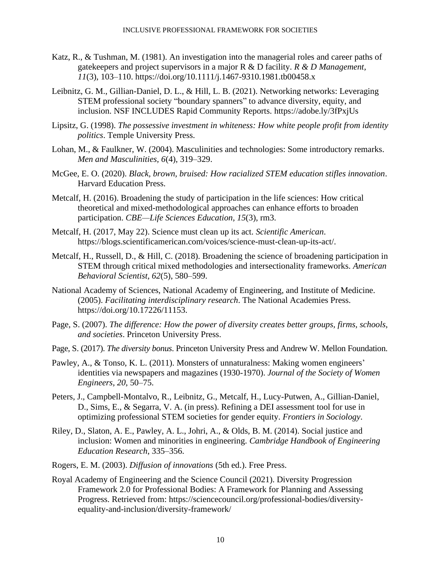- Katz, R., & Tushman, M. (1981). An investigation into the managerial roles and career paths of gatekeepers and project supervisors in a major R & D facility. *R & D Management, 11*(3), 103–110. https://doi.org/10.1111/j.1467-9310.1981.tb00458.x
- Leibnitz, G. M., Gillian-Daniel, D. L., & Hill, L. B. (2021). Networking networks: Leveraging STEM professional society "boundary spanners" to advance diversity, equity, and inclusion. NSF INCLUDES Rapid Community Reports. https://adobe.ly/3fPxjUs
- Lipsitz, G. (1998). *The possessive investment in whiteness: How white people profit from identity politics*. Temple University Press.
- Lohan, M., & Faulkner, W. (2004). Masculinities and technologies: Some introductory remarks. *Men and Masculinities, 6*(4), 319–329.
- McGee, E. O. (2020). *Black, brown, bruised: How racialized STEM education stifles innovation*. Harvard Education Press.
- Metcalf, H. (2016). Broadening the study of participation in the life sciences: How critical theoretical and mixed-methodological approaches can enhance efforts to broaden participation. *CBE—Life Sciences Education, 15*(3), rm3.
- Metcalf, H. (2017, May 22). Science must clean up its act. *Scientific American*. https://blogs.scientificamerican.com/voices/science-must-clean-up-its-act/.
- Metcalf, H., Russell, D., & Hill, C. (2018). Broadening the science of broadening participation in STEM through critical mixed methodologies and intersectionality frameworks. *American Behavioral Scientist, 62*(5), 580–599.
- National Academy of Sciences, National Academy of Engineering, and Institute of Medicine. (2005). *Facilitating interdisciplinary research*. The National Academies Press. https://doi.org/10.17226/11153.
- Page, S. (2007). *The difference: How the power of diversity creates better groups, firms, schools, and societies*. Princeton University Press.
- Page, S. (2017). *The diversity bonus*. Princeton University Press and Andrew W. Mellon Foundation.
- Pawley, A., & Tonso, K. L. (2011). Monsters of unnaturalness: Making women engineers' identities via newspapers and magazines (1930-1970). *Journal of the Society of Women Engineers, 20*, 50–75.
- Peters, J., Campbell-Montalvo, R., Leibnitz, G., Metcalf, H., Lucy-Putwen, A., Gillian-Daniel, D., Sims, E., & Segarra, V. A. (in press). Refining a DEI assessment tool for use in optimizing professional STEM societies for gender equity. *Frontiers in Sociology*.
- Riley, D., Slaton, A. E., Pawley, A. L., Johri, A., & Olds, B. M. (2014). Social justice and inclusion: Women and minorities in engineering. *Cambridge Handbook of Engineering Education Research*, 335–356.
- Rogers, E. M. (2003). *Diffusion of innovations* (5th ed.). Free Press.
- Royal Academy of Engineering and the Science Council (2021). Diversity Progression Framework 2.0 for Professional Bodies: A Framework for Planning and Assessing Progress. Retrieved from: https://sciencecouncil.org/professional-bodies/diversityequality-and-inclusion/diversity-framework/